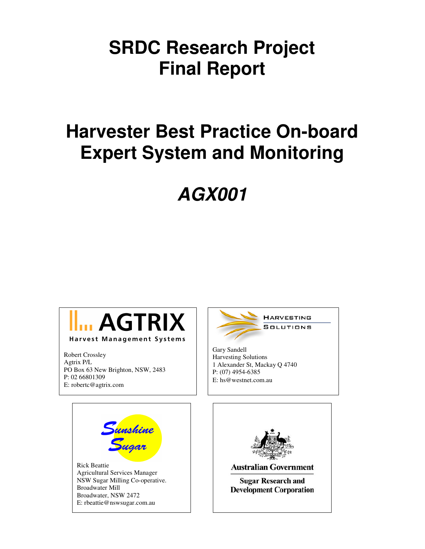### **SRDC Research Project Final Report**

## **Harvester Best Practice On-board Expert System and Monitoring**

# **AGX001**



Robert Crossley Agtrix P/L PO Box 63 New Brighton, NSW, 2483 P: 02 66801309 E: robertc@agtrix.com



Gary Sandell Harvesting Solutions 1 Alexander St, Mackay Q 4740 P: (07) 4954-6385 E: hs@westnet.com.au



Rick Beattie Agricultural Services Manager NSW Sugar Milling Co-operative. Broadwater Mill Broadwater, NSW 2472 E: rbeattie@nswsugar.com.au



**Australian Government** 

**Sugar Research and Development Corporation**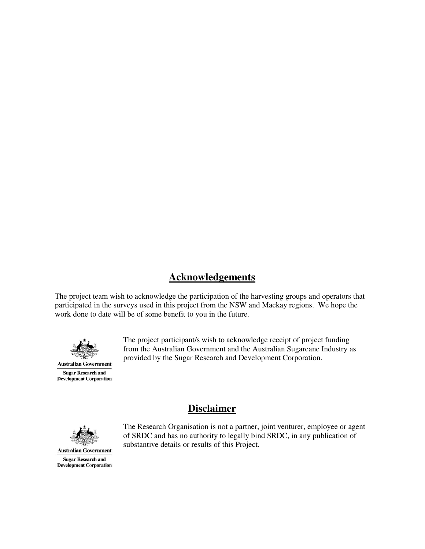### **Acknowledgements**

The project team wish to acknowledge the participation of the harvesting groups and operators that participated in the surveys used in this project from the NSW and Mackay regions. We hope the work done to date will be of some benefit to you in the future.

**Disclaimer**



**Sugar Research and Development Corporation**  The project participant/s wish to acknowledge receipt of project funding from the Australian Government and the Australian Sugarcane Industry as provided by the Sugar Research and Development Corporation.



The Research Organisation is not a partner, joint venturer, employee or agent of SRDC and has no authority to legally bind SRDC, in any publication of substantive details or results of this Project.

**Australian Government Sugar Research and Development Corporation**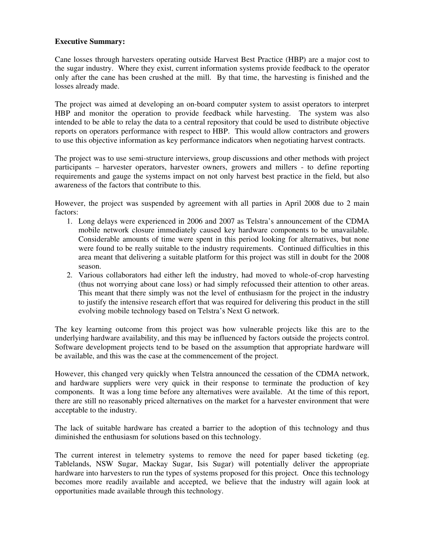#### **Executive Summary:**

Cane losses through harvesters operating outside Harvest Best Practice (HBP) are a major cost to the sugar industry. Where they exist, current information systems provide feedback to the operator only after the cane has been crushed at the mill. By that time, the harvesting is finished and the losses already made.

The project was aimed at developing an on-board computer system to assist operators to interpret HBP and monitor the operation to provide feedback while harvesting. The system was also intended to be able to relay the data to a central repository that could be used to distribute objective reports on operators performance with respect to HBP. This would allow contractors and growers to use this objective information as key performance indicators when negotiating harvest contracts.

The project was to use semi-structure interviews, group discussions and other methods with project participants – harvester operators, harvester owners, growers and millers - to define reporting requirements and gauge the systems impact on not only harvest best practice in the field, but also awareness of the factors that contribute to this.

However, the project was suspended by agreement with all parties in April 2008 due to 2 main factors:

- 1. Long delays were experienced in 2006 and 2007 as Telstra's announcement of the CDMA mobile network closure immediately caused key hardware components to be unavailable. Considerable amounts of time were spent in this period looking for alternatives, but none were found to be really suitable to the industry requirements. Continued difficulties in this area meant that delivering a suitable platform for this project was still in doubt for the 2008 season.
- 2. Various collaborators had either left the industry, had moved to whole-of-crop harvesting (thus not worrying about cane loss) or had simply refocussed their attention to other areas. This meant that there simply was not the level of enthusiasm for the project in the industry to justify the intensive research effort that was required for delivering this product in the still evolving mobile technology based on Telstra's Next G network.

The key learning outcome from this project was how vulnerable projects like this are to the underlying hardware availability, and this may be influenced by factors outside the projects control. Software development projects tend to be based on the assumption that appropriate hardware will be available, and this was the case at the commencement of the project.

However, this changed very quickly when Telstra announced the cessation of the CDMA network, and hardware suppliers were very quick in their response to terminate the production of key components. It was a long time before any alternatives were available. At the time of this report, there are still no reasonably priced alternatives on the market for a harvester environment that were acceptable to the industry.

The lack of suitable hardware has created a barrier to the adoption of this technology and thus diminished the enthusiasm for solutions based on this technology.

The current interest in telemetry systems to remove the need for paper based ticketing (eg. Tablelands, NSW Sugar, Mackay Sugar, Isis Sugar) will potentially deliver the appropriate hardware into harvesters to run the types of systems proposed for this project. Once this technology becomes more readily available and accepted, we believe that the industry will again look at opportunities made available through this technology.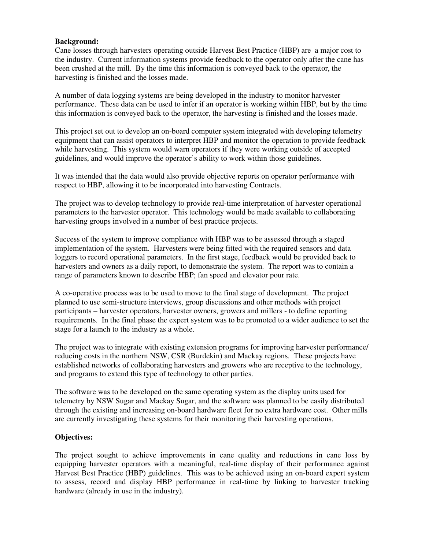#### **Background:**

Cane losses through harvesters operating outside Harvest Best Practice (HBP) are a major cost to the industry. Current information systems provide feedback to the operator only after the cane has been crushed at the mill. By the time this information is conveyed back to the operator, the harvesting is finished and the losses made.

A number of data logging systems are being developed in the industry to monitor harvester performance. These data can be used to infer if an operator is working within HBP, but by the time this information is conveyed back to the operator, the harvesting is finished and the losses made.

This project set out to develop an on-board computer system integrated with developing telemetry equipment that can assist operators to interpret HBP and monitor the operation to provide feedback while harvesting. This system would warn operators if they were working outside of accepted guidelines, and would improve the operator's ability to work within those guidelines.

It was intended that the data would also provide objective reports on operator performance with respect to HBP, allowing it to be incorporated into harvesting Contracts.

The project was to develop technology to provide real-time interpretation of harvester operational parameters to the harvester operator. This technology would be made available to collaborating harvesting groups involved in a number of best practice projects.

Success of the system to improve compliance with HBP was to be assessed through a staged implementation of the system. Harvesters were being fitted with the required sensors and data loggers to record operational parameters. In the first stage, feedback would be provided back to harvesters and owners as a daily report, to demonstrate the system. The report was to contain a range of parameters known to describe HBP; fan speed and elevator pour rate.

A co-operative process was to be used to move to the final stage of development. The project planned to use semi-structure interviews, group discussions and other methods with project participants – harvester operators, harvester owners, growers and millers - to define reporting requirements. In the final phase the expert system was to be promoted to a wider audience to set the stage for a launch to the industry as a whole.

The project was to integrate with existing extension programs for improving harvester performance/ reducing costs in the northern NSW, CSR (Burdekin) and Mackay regions. These projects have established networks of collaborating harvesters and growers who are receptive to the technology, and programs to extend this type of technology to other parties.

The software was to be developed on the same operating system as the display units used for telemetry by NSW Sugar and Mackay Sugar, and the software was planned to be easily distributed through the existing and increasing on-board hardware fleet for no extra hardware cost. Other mills are currently investigating these systems for their monitoring their harvesting operations.

#### **Objectives:**

The project sought to achieve improvements in cane quality and reductions in cane loss by equipping harvester operators with a meaningful, real-time display of their performance against Harvest Best Practice (HBP) guidelines. This was to be achieved using an on-board expert system to assess, record and display HBP performance in real-time by linking to harvester tracking hardware (already in use in the industry).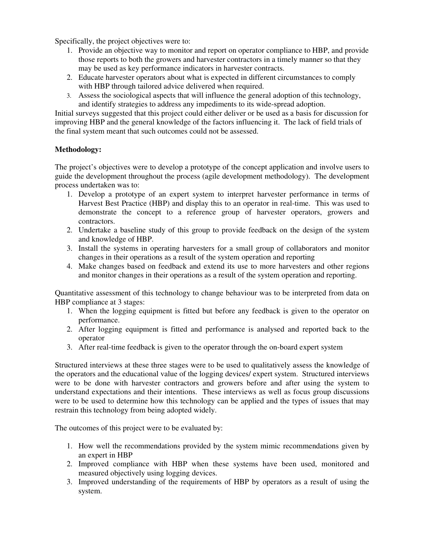Specifically, the project objectives were to:

- 1. Provide an objective way to monitor and report on operator compliance to HBP, and provide those reports to both the growers and harvester contractors in a timely manner so that they may be used as key performance indicators in harvester contracts.
- 2. Educate harvester operators about what is expected in different circumstances to comply with HBP through tailored advice delivered when required.
- 3. Assess the sociological aspects that will influence the general adoption of this technology, and identify strategies to address any impediments to its wide-spread adoption.

Initial surveys suggested that this project could either deliver or be used as a basis for discussion for improving HBP and the general knowledge of the factors influencing it. The lack of field trials of the final system meant that such outcomes could not be assessed.

#### **Methodology:**

The project's objectives were to develop a prototype of the concept application and involve users to guide the development throughout the process (agile development methodology). The development process undertaken was to:

- 1. Develop a prototype of an expert system to interpret harvester performance in terms of Harvest Best Practice (HBP) and display this to an operator in real-time. This was used to demonstrate the concept to a reference group of harvester operators, growers and contractors.
- 2. Undertake a baseline study of this group to provide feedback on the design of the system and knowledge of HBP.
- 3. Install the systems in operating harvesters for a small group of collaborators and monitor changes in their operations as a result of the system operation and reporting
- 4. Make changes based on feedback and extend its use to more harvesters and other regions and monitor changes in their operations as a result of the system operation and reporting.

Quantitative assessment of this technology to change behaviour was to be interpreted from data on HBP compliance at 3 stages:

- 1. When the logging equipment is fitted but before any feedback is given to the operator on performance.
- 2. After logging equipment is fitted and performance is analysed and reported back to the operator
- 3. After real-time feedback is given to the operator through the on-board expert system

Structured interviews at these three stages were to be used to qualitatively assess the knowledge of the operators and the educational value of the logging devices/ expert system. Structured interviews were to be done with harvester contractors and growers before and after using the system to understand expectations and their intentions. These interviews as well as focus group discussions were to be used to determine how this technology can be applied and the types of issues that may restrain this technology from being adopted widely.

The outcomes of this project were to be evaluated by:

- 1. How well the recommendations provided by the system mimic recommendations given by an expert in HBP
- 2. Improved compliance with HBP when these systems have been used, monitored and measured objectively using logging devices.
- 3. Improved understanding of the requirements of HBP by operators as a result of using the system.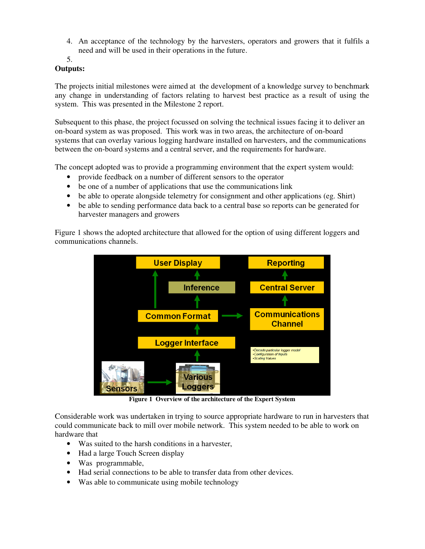4. An acceptance of the technology by the harvesters, operators and growers that it fulfils a need and will be used in their operations in the future.

5.

#### **Outputs:**

The projects initial milestones were aimed at the development of a knowledge survey to benchmark any change in understanding of factors relating to harvest best practice as a result of using the system. This was presented in the Milestone 2 report.

Subsequent to this phase, the project focussed on solving the technical issues facing it to deliver an on-board system as was proposed. This work was in two areas, the architecture of on-board systems that can overlay various logging hardware installed on harvesters, and the communications between the on-board systems and a central server, and the requirements for hardware.

The concept adopted was to provide a programming environment that the expert system would:

- provide feedback on a number of different sensors to the operator
- be one of a number of applications that use the communications link
- be able to operate alongside telemetry for consignment and other applications (eg. Shirt)
- be able to sending performance data back to a central base so reports can be generated for harvester managers and growers

Figure 1 shows the adopted architecture that allowed for the option of using different loggers and communications channels.



**Figure 1 Overview of the architecture of the Expert System** 

Considerable work was undertaken in trying to source appropriate hardware to run in harvesters that could communicate back to mill over mobile network. This system needed to be able to work on hardware that

- Was suited to the harsh conditions in a harvester,
- Had a large Touch Screen display
- Was programmable,
- Had serial connections to be able to transfer data from other devices.
- Was able to communicate using mobile technology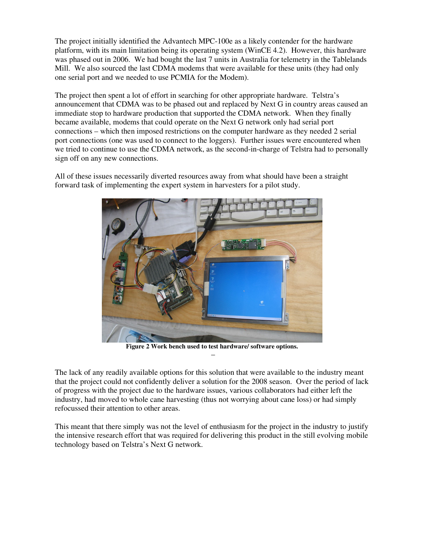The project initially identified the Advantech MPC-100e as a likely contender for the hardware platform, with its main limitation being its operating system (WinCE 4.2). However, this hardware was phased out in 2006. We had bought the last 7 units in Australia for telemetry in the Tablelands Mill. We also sourced the last CDMA modems that were available for these units (they had only one serial port and we needed to use PCMIA for the Modem).

The project then spent a lot of effort in searching for other appropriate hardware. Telstra's announcement that CDMA was to be phased out and replaced by Next G in country areas caused an immediate stop to hardware production that supported the CDMA network. When they finally became available, modems that could operate on the Next G network only had serial port connections – which then imposed restrictions on the computer hardware as they needed 2 serial port connections (one was used to connect to the loggers). Further issues were encountered when we tried to continue to use the CDMA network, as the second-in-charge of Telstra had to personally sign off on any new connections.

All of these issues necessarily diverted resources away from what should have been a straight forward task of implementing the expert system in harvesters for a pilot study.



**Figure 2 Work bench used to test hardware/ software options.**  –

The lack of any readily available options for this solution that were available to the industry meant that the project could not confidently deliver a solution for the 2008 season. Over the period of lack of progress with the project due to the hardware issues, various collaborators had either left the industry, had moved to whole cane harvesting (thus not worrying about cane loss) or had simply refocussed their attention to other areas.

This meant that there simply was not the level of enthusiasm for the project in the industry to justify the intensive research effort that was required for delivering this product in the still evolving mobile technology based on Telstra's Next G network.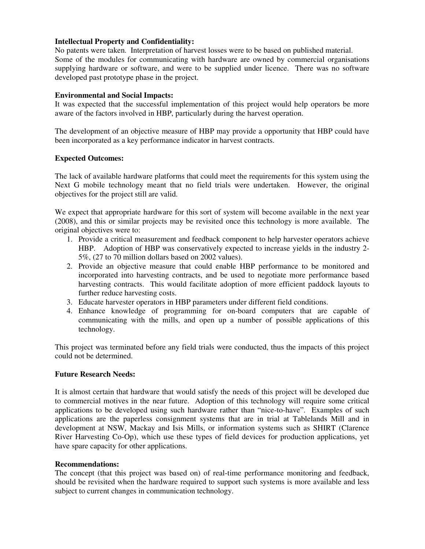#### **Intellectual Property and Confidentiality:**

No patents were taken. Interpretation of harvest losses were to be based on published material. Some of the modules for communicating with hardware are owned by commercial organisations supplying hardware or software, and were to be supplied under licence. There was no software developed past prototype phase in the project.

#### **Environmental and Social Impacts:**

It was expected that the successful implementation of this project would help operators be more aware of the factors involved in HBP, particularly during the harvest operation.

The development of an objective measure of HBP may provide a opportunity that HBP could have been incorporated as a key performance indicator in harvest contracts.

#### **Expected Outcomes:**

The lack of available hardware platforms that could meet the requirements for this system using the Next G mobile technology meant that no field trials were undertaken. However, the original objectives for the project still are valid.

We expect that appropriate hardware for this sort of system will become available in the next year (2008), and this or similar projects may be revisited once this technology is more available. The original objectives were to:

- 1. Provide a critical measurement and feedback component to help harvester operators achieve HBP. Adoption of HBP was conservatively expected to increase yields in the industry 2- 5%, (27 to 70 million dollars based on 2002 values).
- 2. Provide an objective measure that could enable HBP performance to be monitored and incorporated into harvesting contracts, and be used to negotiate more performance based harvesting contracts. This would facilitate adoption of more efficient paddock layouts to further reduce harvesting costs.
- 3. Educate harvester operators in HBP parameters under different field conditions.
- 4. Enhance knowledge of programming for on-board computers that are capable of communicating with the mills, and open up a number of possible applications of this technology.

This project was terminated before any field trials were conducted, thus the impacts of this project could not be determined.

#### **Future Research Needs:**

It is almost certain that hardware that would satisfy the needs of this project will be developed due to commercial motives in the near future. Adoption of this technology will require some critical applications to be developed using such hardware rather than "nice-to-have". Examples of such applications are the paperless consignment systems that are in trial at Tablelands Mill and in development at NSW, Mackay and Isis Mills, or information systems such as SHIRT (Clarence River Harvesting Co-Op), which use these types of field devices for production applications, yet have spare capacity for other applications.

#### **Recommendations:**

The concept (that this project was based on) of real-time performance monitoring and feedback, should be revisited when the hardware required to support such systems is more available and less subject to current changes in communication technology.